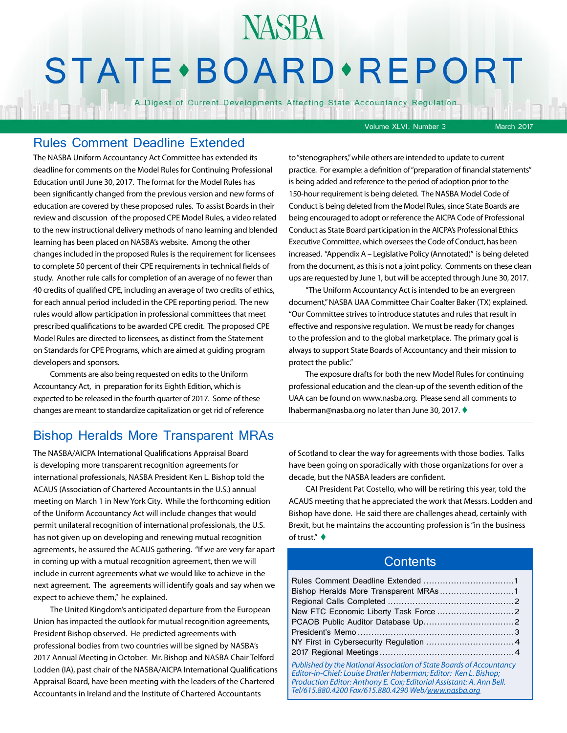# **STATE** · BOARD · REPORT

**NASBA** 

A Digest of Current Developments Affecting State Accountancy Regulation

Volume XLVI, Number 3 March 2017

#### Rules Comment Deadline Extended

The NASBA Uniform Accountancy Act Committee has extended its deadline for comments on the Model Rules for Continuing Professional Education until June 30, 2017. The format for the Model Rules has been significantly changed from the previous version and new forms of education are covered by these proposed rules. To assist Boards in their review and discussion of the proposed CPE Model Rules, a video related to the new instructional delivery methods of nano learning and blended learning has been placed on NASBA's website. Among the other changes included in the proposed Rules is the requirement for licensees to complete 50 percent of their CPE requirements in technical fields of study. Another rule calls for completion of an average of no fewer than 40 credits of qualified CPE, including an average of two credits of ethics, for each annual period included in the CPE reporting period. The new rules would allow participation in professional committees that meet prescribed qualifications to be awarded CPE credit. The proposed CPE Model Rules are directed to licensees, as distinct from the Statement on Standards for CPE Programs, which are aimed at guiding program developers and sponsors.

Comments are also being requested on edits to the Uniform Accountancy Act, in preparation for its Eighth Edition, which is expected to be released in the fourth quarter of 2017. Some of these changes are meant to standardize capitalization or get rid of reference

to "stenographers," while others are intended to update to current practice. For example: a definition of "preparation of financial statements" is being added and reference to the period of adoption prior to the 150-hour requirement is being deleted. The NASBA Model Code of Conduct is being deleted from the Model Rules, since State Boards are being encouraged to adopt or reference the AICPA Code of Professional Conduct as State Board participation in the AICPA's Professional Ethics Executive Committee, which oversees the Code of Conduct, has been increased. "Appendix A – Legislative Policy (Annotated)" is being deleted from the document, as this is not a joint policy. Comments on these clean ups are requested by June 1, but will be accepted through June 30, 2017.

"The Uniform Accountancy Act is intended to be an evergreen document," NASBA UAA Committee Chair Coalter Baker (TX) explained. "Our Committee strives to introduce statutes and rules that result in effective and responsive regulation. We must be ready for changes to the profession and to the global marketplace. The primary goal is always to support State Boards of Accountancy and their mission to protect the public."

The exposure drafts for both the new Model Rules for continuing professional education and the clean-up of the seventh edition of the UAA can be found on www.nasba.org. Please send all comments to Ihaberman@nasba.org no later than June 30, 2017.  $\blacklozenge$ 

#### Bishop Heralds More Transparent MRAs

The NASBA/AICPA International Qualifications Appraisal Board is developing more transparent recognition agreements for international professionals, NASBA President Ken L. Bishop told the ACAUS (Association of Chartered Accountants in the U.S.) annual meeting on March 1 in New York City. While the forthcoming edition of the Uniform Accountancy Act will include changes that would permit unilateral recognition of international professionals, the U.S. has not given up on developing and renewing mutual recognition agreements, he assured the ACAUS gathering. "If we are very far apart in coming up with a mutual recognition agreement, then we will include in current agreements what we would like to achieve in the next agreement. The agreements will identify goals and say when we expect to achieve them," he explained.

The United Kingdom's anticipated departure from the European Union has impacted the outlook for mutual recognition agreements, President Bishop observed. He predicted agreements with professional bodies from two countries will be signed by NASBA's 2017 Annual Meeting in October. Mr. Bishop and NASBA Chair Telford Lodden (IA), past chair of the NASBA/AICPA International Qualifications Appraisal Board, have been meeting with the leaders of the Chartered Accountants in Ireland and the Institute of Chartered Accountants

of Scotland to clear the way for agreements with those bodies. Talks have been going on sporadically with those organizations for over a decade, but the NASBA leaders are confident.

CAI President Pat Costello, who will be retiring this year, told the ACAUS meeting that he appreciated the work that Messrs. Lodden and Bishop have done. He said there are challenges ahead, certainly with Brexit, but he maintains the accounting profession is "in the business of trust." $\triangleleft$ 

#### **Contents**

| Bishop Heralds More Transparent MRAs1                                                                                                                                                                                                                                   |  |
|-------------------------------------------------------------------------------------------------------------------------------------------------------------------------------------------------------------------------------------------------------------------------|--|
|                                                                                                                                                                                                                                                                         |  |
|                                                                                                                                                                                                                                                                         |  |
|                                                                                                                                                                                                                                                                         |  |
|                                                                                                                                                                                                                                                                         |  |
|                                                                                                                                                                                                                                                                         |  |
|                                                                                                                                                                                                                                                                         |  |
| Published by the National Association of State Boards of Accountancy<br>Editor-in-Chief: Louise Dratler Haberman; Editor: Ken L. Bishop;<br>Production Editor: Anthony E. Cox; Editorial Assistant: A. Ann Bell.<br>Tel/615.880.4200 Fax/615.880.4290 Web/www.nasba.org |  |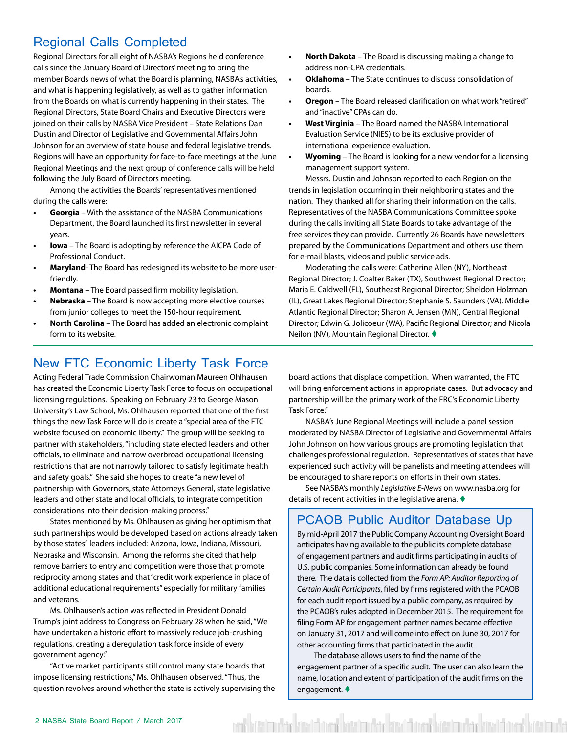#### <span id="page-1-0"></span>Regional Calls Completed

Regional Directors for all eight of NASBA's Regions held conference calls since the January Board of Directors' meeting to bring the member Boards news of what the Board is planning, NASBA's activities, and what is happening legislatively, as well as to gather information from the Boards on what is currently happening in their states. The Regional Directors, State Board Chairs and Executive Directors were joined on their calls by NASBA Vice President – State Relations Dan Dustin and Director of Legislative and Governmental Affairs John Johnson for an overview of state house and federal legislative trends. Regions will have an opportunity for face-to-face meetings at the June Regional Meetings and the next group of conference calls will be held following the July Board of Directors meeting.

Among the activities the Boards' representatives mentioned during the calls were:

- **• Georgia** With the assistance of the NASBA Communications Department, the Board launched its first newsletter in several years.
- **• Iowa** The Board is adopting by reference the AICPA Code of Professional Conduct.
- **• Maryland** The Board has redesigned its website to be more userfriendly.
- **• Montana** The Board passed firm mobility legislation.
- **• Nebraska** The Board is now accepting more elective courses from junior colleges to meet the 150-hour requirement.
- **• North Carolina** The Board has added an electronic complaint form to its website.
- **• North Dakota** The Board is discussing making a change to address non-CPA credentials.
- **• Oklahoma** The State continues to discuss consolidation of boards.
- **• Oregon** The Board released clarification on what work "retired" and "inactive" CPAs can do.
- **• West Virginia** The Board named the NASBA International Evaluation Service (NIES) to be its exclusive provider of international experience evaluation.
- **• Wyoming** The Board is looking for a new vendor for a licensing management support system.

Messrs. Dustin and Johnson reported to each Region on the trends in legislation occurring in their neighboring states and the nation. They thanked all for sharing their information on the calls. Representatives of the NASBA Communications Committee spoke during the calls inviting all State Boards to take advantage of the free services they can provide. Currently 26 Boards have newsletters prepared by the Communications Department and others use them for e-mail blasts, videos and public service ads.

Moderating the calls were: Catherine Allen (NY), Northeast Regional Director; J. Coalter Baker (TX), Southwest Regional Director; Maria E. Caldwell (FL), Southeast Regional Director; Sheldon Holzman (IL), Great Lakes Regional Director; Stephanie S. Saunders (VA), Middle Atlantic Regional Director; Sharon A. Jensen (MN), Central Regional Director; Edwin G. Jolicoeur (WA), Pacific Regional Director; and Nicola Neilon (NV), Mountain Regional Director. ♦

#### New FTC Economic Liberty Task Force

Acting Federal Trade Commission Chairwoman Maureen Ohlhausen has created the Economic Liberty Task Force to focus on occupational licensing regulations. Speaking on February 23 to George Mason University's Law School, Ms. Ohlhausen reported that one of the first things the new Task Force will do is create a "special area of the FTC website focused on economic liberty." The group will be seeking to partner with stakeholders, "including state elected leaders and other officials, to eliminate and narrow overbroad occupational licensing restrictions that are not narrowly tailored to satisfy legitimate health and safety goals." She said she hopes to create "a new level of partnership with Governors, state Attorneys General, state legislative leaders and other state and local officials, to integrate competition considerations into their decision-making process."

States mentioned by Ms. Ohlhausen as giving her optimism that such partnerships would be developed based on actions already taken by those states' leaders included: Arizona, Iowa, Indiana, Missouri, Nebraska and Wisconsin. Among the reforms she cited that help remove barriers to entry and competition were those that promote reciprocity among states and that "credit work experience in place of additional educational requirements" especially for military families and veterans.

Ms. Ohlhausen's action was reflected in President Donald Trump's joint address to Congress on February 28 when he said, "We have undertaken a historic effort to massively reduce job-crushing regulations, creating a deregulation task force inside of every government agency."

"Active market participants still control many state boards that impose licensing restrictions," Ms. Ohlhausen observed. "Thus, the question revolves around whether the state is actively supervising the board actions that displace competition. When warranted, the FTC will bring enforcement actions in appropriate cases. But advocacy and partnership will be the primary work of the FRC's Economic Liberty Task Force."

NASBA's June Regional Meetings will include a panel session moderated by NASBA Director of Legislative and Governmental Affairs John Johnson on how various groups are promoting legislation that challenges professional regulation. Representatives of states that have experienced such activity will be panelists and meeting attendees will be encouraged to share reports on efforts in their own states.

See NASBA's monthly *Legislative E-News* on www.nasba.org for details of recent activities in the legislative arena.  $\blacklozenge$ 

#### PCAOB Public Auditor Database Up

By mid-April 2017 the Public Company Accounting Oversight Board anticipates having available to the public its complete database of engagement partners and audit firms participating in audits of U.S. public companies. Some information can already be found there. The data is collected from the *Form AP: Auditor Reporting of Certain Audit Participants*, filed by firms registered with the PCAOB for each audit report issued by a public company, as required by the PCAOB's rules adopted in December 2015. The requirement for filing Form AP for engagement partner names became effective on January 31, 2017 and will come into effect on June 30, 2017 for other accounting firms that participated in the audit.

The database allows users to find the name of the engagement partner of a specific audit. The user can also learn the name, location and extent of participation of the audit firms on the engagement. $\blacklozenge$ 

ent battimular követ formi kött indarkvast formi kött indarkväst követ kött inda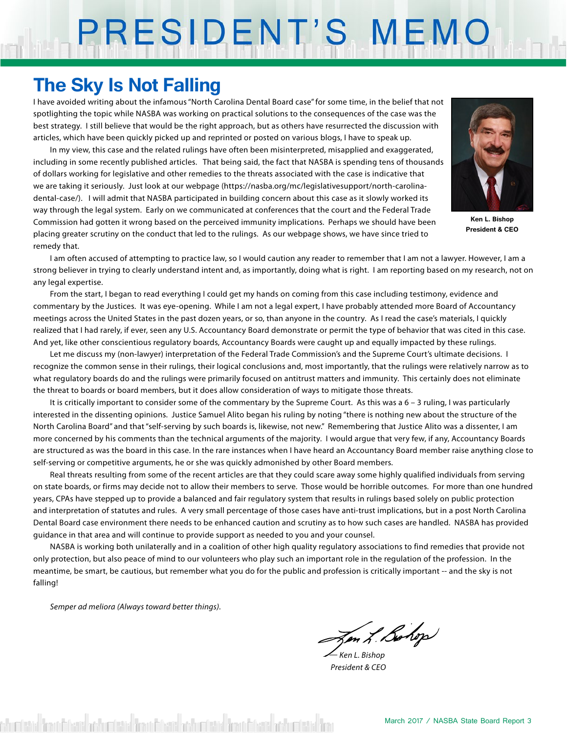# PRESIDENT'S MEMO

### **The Sky Is Not Falling**

I have avoided writing about the infamous "North Carolina Dental Board case" for some time, in the belief that not spotlighting the topic while NASBA was working on practical solutions to the consequences of the case was the best strategy. I still believe that would be the right approach, but as others have resurrected the discussion with articles, which have been quickly picked up and reprinted or posted on various blogs, I have to speak up.

In my view, this case and the related rulings have often been misinterpreted, misapplied and exaggerated, including in some recently published articles. That being said, the fact that NASBA is spending tens of thousands of dollars working for legislative and other remedies to the threats associated with the case is indicative that we are taking it seriously. Just look at our webpage (https://nasba.org/mc/legislativesupport/north-carolinadental-case/). I will admit that NASBA participated in building concern about this case as it slowly worked its way through the legal system. Early on we communicated at conferences that the court and the Federal Trade Commission had gotten it wrong based on the perceived immunity implications. Perhaps we should have been placing greater scrutiny on the conduct that led to the rulings. As our webpage shows, we have since tried to remedy that.



**Ken L. Bishop President & CEO**

I am often accused of attempting to practice law, so I would caution any reader to remember that I am not a lawyer. However, I am a strong believer in trying to clearly understand intent and, as importantly, doing what is right. I am reporting based on my research, not on any legal expertise.

From the start, I began to read everything I could get my hands on coming from this case including testimony, evidence and commentary by the Justices. It was eye-opening. While I am not a legal expert, I have probably attended more Board of Accountancy meetings across the United States in the past dozen years, or so, than anyone in the country. As I read the case's materials, I quickly realized that I had rarely, if ever, seen any U.S. Accountancy Board demonstrate or permit the type of behavior that was cited in this case. And yet, like other conscientious regulatory boards, Accountancy Boards were caught up and equally impacted by these rulings.

Let me discuss my (non-lawyer) interpretation of the Federal Trade Commission's and the Supreme Court's ultimate decisions. I recognize the common sense in their rulings, their logical conclusions and, most importantly, that the rulings were relatively narrow as to what regulatory boards do and the rulings were primarily focused on antitrust matters and immunity. This certainly does not eliminate the threat to boards or board members, but it does allow consideration of ways to mitigate those threats.

It is critically important to consider some of the commentary by the Supreme Court. As this was a 6 – 3 ruling, I was particularly interested in the dissenting opinions. Justice Samuel Alito began his ruling by noting "there is nothing new about the structure of the North Carolina Board" and that "self-serving by such boards is, likewise, not new." Remembering that Justice Alito was a dissenter, I am more concerned by his comments than the technical arguments of the majority. I would argue that very few, if any, Accountancy Boards are structured as was the board in this case. In the rare instances when I have heard an Accountancy Board member raise anything close to self-serving or competitive arguments, he or she was quickly admonished by other Board members.

Real threats resulting from some of the recent articles are that they could scare away some highly qualified individuals from serving on state boards, or firms may decide not to allow their members to serve. Those would be horrible outcomes. For more than one hundred years, CPAs have stepped up to provide a balanced and fair regulatory system that results in rulings based solely on public protection and interpretation of statutes and rules. A very small percentage of those cases have anti-trust implications, but in a post North Carolina Dental Board case environment there needs to be enhanced caution and scrutiny as to how such cases are handled. NASBA has provided guidance in that area and will continue to provide support as needed to you and your counsel.

NASBA is working both unilaterally and in a coalition of other high quality regulatory associations to find remedies that provide not only protection, but also peace of mind to our volunteers who play such an important role in the regulation of the profession. In the meantime, be smart, be cautious, but remember what you do for the public and profession is critically important -- and the sky is not falling!

*Semper ad meliora (Always toward better things).*

Jen L. Bohop

*— Ken L. Bishop President & CEO*

shumberida dimatit biratisi adalam tarishlarida da kata da biratisi da biratisi da biratisi da biratisi da bir